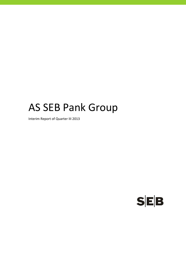# AS SEB Pank Group

Interim Report of Quarter III 2013

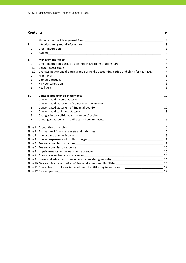#### **Contents** P.

|      |                                                                                                                                                                                                                                | 2              |
|------|--------------------------------------------------------------------------------------------------------------------------------------------------------------------------------------------------------------------------------|----------------|
| I.   |                                                                                                                                                                                                                                | 3              |
| 1.   |                                                                                                                                                                                                                                | 3              |
| 2.   |                                                                                                                                                                                                                                | 3              |
| II.  | Management Report and the contract of the contract of the contract of the contract of the contract of the contract of the contract of the contract of the contract of the contract of the contract of the contract of the cont | 4              |
| 1.   | Credit institution's group as defined in Credit Institutions Law __________________________________                                                                                                                            | $\overline{4}$ |
| 1.1. |                                                                                                                                                                                                                                | $\overline{4}$ |
| 1.2. | Changes in the consolidated group during the accounting period and plans for year 2013                                                                                                                                         | 4              |
| 2.   |                                                                                                                                                                                                                                | 5              |
| 3.   |                                                                                                                                                                                                                                | $\overline{7}$ |
| 4.   |                                                                                                                                                                                                                                | 9              |
| 5.   |                                                                                                                                                                                                                                | 9              |
| Ш.   |                                                                                                                                                                                                                                | 11             |
| 1.   |                                                                                                                                                                                                                                |                |
| 2.   | Consolidated statement of comprehensive income<br>11                                                                                                                                                                           |                |
| 3.   |                                                                                                                                                                                                                                |                |
| 4.   |                                                                                                                                                                                                                                |                |
| 5.   |                                                                                                                                                                                                                                |                |
| 6.   |                                                                                                                                                                                                                                |                |
|      |                                                                                                                                                                                                                                |                |
|      |                                                                                                                                                                                                                                |                |
|      |                                                                                                                                                                                                                                | 19             |
|      |                                                                                                                                                                                                                                | 19             |
|      |                                                                                                                                                                                                                                | 19             |
|      |                                                                                                                                                                                                                                |                |
|      |                                                                                                                                                                                                                                |                |
|      |                                                                                                                                                                                                                                |                |
|      |                                                                                                                                                                                                                                |                |
|      | Note 10 Geographic concentration of financial assets and liabilities_________________________________ 21                                                                                                                       |                |
|      | Note 11 Concentration of financial assets and liabilities by industry sector<br>22                                                                                                                                             |                |
|      |                                                                                                                                                                                                                                | 24             |
|      |                                                                                                                                                                                                                                |                |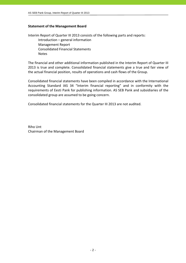#### **Statement of the Management Board**

Interim Report of Quarter III 2013 consists of the following parts and reports: Introduction – general information Management Report Consolidated Financial Statements Notes

The financial and other additional information published in the Interim Report of Quarter III 2013 is true and complete. Consolidated financial statements give a true and fair view of the actual financial position, results of operations and cash flows of the Group.

Consolidated financial statements have been compiled in accordance with the International Accounting Standard IAS 34 "Interim financial reporting" and in conformity with the requirements of Eesti Pank for publishing information. AS SEB Pank and subsidiaries of the consolidated group are assumed to be going concern.

Consolidated financial statements for the Quarter III 2013 are not audited.

Riho Unt Chairman of the Management Board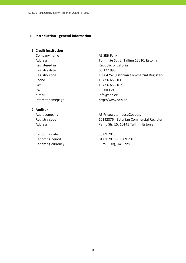#### **I. Introduction ‐ general information**

#### **1. Credit institution**

Company name AS SEB Pank Registered in Republic of Estonia Registry date 08.12.1995 Phone  $+372$  6 655 100 Fax +372 6 655 102 SWIFT EEUHEE2X e-mail info@seb.ee

Address Tornimäe Str. 2, Tallinn 15010, Estonia Registry code 10004252 (Estonian Commercial Register) Internet homepage http://www.seb.ee

# **2. Auditor**

Reporting date 30.09.2013

Audit company and all the AS PricewaterhouseCoopers Registry code 10142876 (Estonian Commercial Register) Address **Pärnu Str. 15, 10141 Tallinn, Estonia** 

Reporting period 01.01.2013 ‐ 30.09.2013 Reporting currency Euro (EUR), millions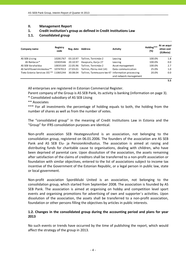#### **II. Management Report**

## **1. Credit institution's group as defined in Credit Institutions Law**

## **1.1. Consolidated group**

| Company name                              | Registry<br>code | Reg. date | <b>Address</b>                                   | <b>Activity</b>        | Holding***<br>(%) | At an acqui-<br>sition cost<br>(EURmio) |
|-------------------------------------------|------------------|-----------|--------------------------------------------------|------------------------|-------------------|-----------------------------------------|
| AS SEB Liising                            | 10281767         | 03.10.97  | Tallinn, Tornimäe 2                              | Leasing                | 100.0%            | 1.8                                     |
| AS Rentacar*                              | 10303546         | 20.10.97  | Haapsalu, Karja 27                               | Leasing                | 100.0%            | 0.0                                     |
| AS SEB Varahaldus                         | 10035169         | 22.05.96  | Tallinn, Tornimäe 2                              | Asset management       | 100.0%            | 2.7                                     |
| AS Sertifits eerimiskes kus <sup>**</sup> | 10747013         | 27.03.01  | Tallinn, Pärnu mnt 141                           | Data communication     | 25.0%             | 1.0                                     |
| Tieto Estonia Services OÜ ** 11065244     |                  | 30.08.04  | Tallinn, Tammsaare tee 47 Information processing |                        | 20.0%             | 0.0                                     |
|                                           |                  |           |                                                  | and network management |                   |                                         |
|                                           |                  |           |                                                  |                        |                   | 5.5                                     |

All enterprises are registered in Estonian Commercial Register.

Parent company of the Group is AS SEB Pank, its activity is banking (information on page 3).

\* Consolidated subsidiary of AS SEB Liising

\*\* Associates

\*\*\* For all investments the percentage of holding equals to both, the holding from the number of shares as well as from the number of votes.

The "consolidated group" in the meaning of Credit Institutions Law in Estonia and the "Group" for IFRS consolidation purposes are identical.

Non‐profit association SEB Heategevusfond is an association, not belonging to the consolidation group, registered on 06.01.2006. The founders of the association are AS SEB Pank and AS SEB Elu- ja Pensionikindlustus. The association is aimed at raising and distributing funds for charitable cause to organisations, dealing with children, who have been deprived of parental care. Upon dissolution of the association, the assets remaining after satisfaction of the claims of creditors shall be transferred to a non‐profit association or foundation with similar objectives, entered to the list of associations subject to income tax incentive of the Government of the Estonian Republic, or a legal person in public law, state or local government.

Non‐profit association Spordiklubi United is an association, not belonging to the consolidation group, which started from September 2008. The association is founded by AS SEB Pank. The association is aimed at organising on hobby and competition level sport events and organising promotions for advertising of own and supporter´s activities. Upon dissolution of the association, the assets shall be transferred to a non‐profit association, foundation or other persons filling the objectives by articles in public interests.

# **1.2. Changes in the consolidated group during the accounting period and plans for year 2013**

No such events or trends have occurred by the time of publishing the report, which would affect the strategy of the group in 2013.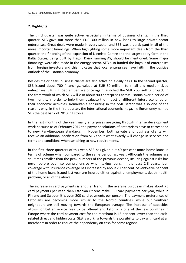# **2. Highlights**

The third quarter was quite active, especially in terms of business clients. In the third quarter, SEB gave out more than EUR 300 million in new loans to large private sector enterprises. Great deals were made in every sector and SEB was a participant in all of the more important financings. When highlighting some more important deals from the third quarter, the financing of the expansion of Ülemiste Centre and the largest dairy farm in the Baltic States, being built by Trigon Dairy Farming AS, should be mentioned. Some major financings were also made in the energy sector. SEB also funded the buyout of enterprises from foreign investors and this indicates that local enterprises have faith in the positive outlook of the Estonian economy.

Besides major deals, business clients are also active on a daily basis. In the second quarter, SEB issued about 700 financings, valued at EUR 50 million, to small and medium‐sized enterprises (SME). In September, we once again launched the SME counselling project, in the framework of which SEB will visit about 900 enterprises across Estonia over a period of two months, in order to help them evaluate the impact of different future scenarios on their economic activities. Remarkable consulting in the SME sector was also one of the reasons why, in the third quarter, the international economic magazine Euromoney named SEB the best bank of 2013 in Estonia.

In the last months of the year, many enterprises are going through intense development work because as of February 2014 the payment solutions of enterprises have to correspond to new Pan–European standards. In November, both private and business clients will receive an additional notification from SEB about what exactly will change in services and terms and conditions when switching to new requirements.

In the first three quarters of this year, SEB has given out 40 per cent more home loans in terms of volume when compared to the same period last year. Although the volumes are still times smaller than the peak numbers of the previous decade, insuring against risks has never before been so comprehensive when taking loans. In the past 2‐3 years, loan coverage with insurance coverage has increased by about 20 per cent. Seventy‐five per cent of the home loans issued last year are insured either against unemployment, death, health problem, or all of the above.

The increase in card payments is another trend. If the average European makes about 75 card payments per year, then Estonian citizens make 150 card payments per year, while in Finland and Sweden it is even 200 card payments per person. The payment preferences of Estonians are becoming more similar to the Nordic countries, while our Southern neighbours are still moving towards the European average. The increase of capacities allows for better service fees to be offered and Estonia is one of the few countries in Europe where the card payment cost for the merchant is 45 per cent lower than the cash‐ related direct and hidden costs. SEB is working towards the possibility to pay with card at all merchants in order to reduce the dependency on cash for some regions.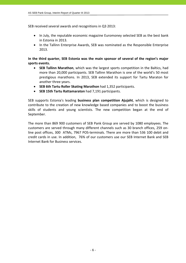SEB received several awards and recognitions in Q3 2013:

- In July, the reputable economic magazine Euromoney selected SEB as the best bank in Estonia in 2013.
- In the Tallinn Enterprise Awards, SEB was nominated as the Responsible Enterprise 2013.

**In the third quarter, SEB Estonia was the main sponsor of several of the region's major sports events.**

- **SEB Tallinn Marathon**, which was the largest sports competition in the Baltics, had more than 20,000 participants. SEB Tallinn Marathon is one of the world's 50 most prestigious marathons. In 2013, SEB extended its support for Tartu Maraton for another three years.
- **SEB 6th Tartu Roller Skating Marathon** had 1,352 participants.
- **SEB 15th Tartu Rattamaraton** had 7,191 participants.

SEB supports Estonia's leading **business plan competition Ajujaht**, which is designed to contribute to the creation of new knowledge based companies and to boost the business skills of students and young scientists. The new competition began at the end of September.

The more than 869 900 customers of SEB Pank Group are served by 1080 employees. The customers are served through many different channels such as 30 branch offices, 259 on‐ line post offices, 300 ATMs, 7967 POS-terminals. There are more than 536 100 debit and credit cards in use. In addition, 76% of our customers use our SEB Internet Bank and SEB Internet Bank for Business services.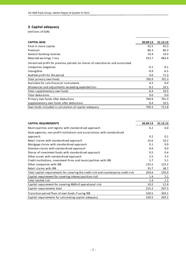# **3. Capital adequacy**

| <b>CAPITAL BASE</b>                                                             | 30.09.13 | 31.12.12 |
|---------------------------------------------------------------------------------|----------|----------|
| Paid-in share capital                                                           | 42.5     | 42.5     |
| Premium                                                                         | 86.3     | 86.3     |
| General banking reserves                                                        | 19.4     | 19.4     |
| Retained earnings / loss                                                        | 553.7    | 482.4    |
| Unrealised profit for previous periods on shares of subsidiaries and associated |          |          |
| companies (negative)                                                            | $-0.1$   | $-0.1$   |
| Intangibles                                                                     | $-0.9$   | $-0.5$   |
| Audited profit for the period                                                   | 0.0      | 71.3     |
| Total primary own funds                                                         | 700.9    | 701.3    |
| Available for sale financial instruments                                        | 0.2      | 0.4      |
| Allowances and adjustments exceeding expected loss                              | 8.2      | 10.1     |
| Total supplementary own funds                                                   | 8.4      | 10.5     |
| <b>Total deductions</b>                                                         | 0.0      | 0.0      |
| Primary own funds after deductions                                              | 700.9    | 701.3    |
| Supplementary own funds after deductions                                        | 8.4      | 10.5     |
| Own funds included in calculation of capital adequacy                           | 709.3    | 711.8    |

| <b>CAPITAL REQUIREMENTS</b>                                                          | 30.09.13 | 31.12.12 |
|--------------------------------------------------------------------------------------|----------|----------|
| Municipalities and regions with standardised approach                                | 6.2      | 6.0      |
| State agencies, non-profit institutions and associations with standardised           |          |          |
| approach                                                                             | 0.2      | 0.1      |
| Retail claims with standardised approach                                             | 16.6     | 16.2     |
| Mortgage claims with standardised approach                                           | 0.1      | 0.0      |
| Overdue claims with standardised approach                                            | 0.6      | 0.0      |
| Shares of investment funds with standardised approach                                | 0.5      | 0.4      |
| Other assets with standardised approach                                              | 2.5      | 3.3      |
| Credit institutions, investment firms and municipalities with IRB                    | 5.7      | 5.1      |
| Other companies with IRB                                                             | 135.5    | 125.2    |
| Retail claims with IRB                                                               | 35.7     | 38.7     |
| Total capital requirements for covering the credit risk and counterparty credit risk | 203.6    | 195.0    |
| Capital requirement for covering interest position risk                              | 1.4      | 1.1      |
| Total market risk                                                                    | 1.4      | 1.1      |
| Capital requirement for covering AMA of operational risk                             | 10.2     | 11.4     |
| Capital requirements total                                                           | 215.2    | 207.5    |
| Transition period floor of own funds if using IRB                                    | 328.5    | 303.1    |
| Capital requirements for calculating capital adequacy                                | 328.5    | 303.1    |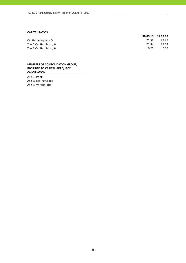#### **CAPITAL RATIOS**

|                         |       | 30.09.13 31.12.12 |
|-------------------------|-------|-------------------|
| Capital adequacy, %     | 21.59 | 23.49             |
| Tier 1 Capital Ratio, % | 21.34 | 23.14             |
| Tier 2 Capital Ratio, % | 0.25  | 0.35              |

#### **MEMBERS OF CONSOLIDATION GROUP, INCLUDED TO CAPITAL ADEQUACY CALCULATION**

AS SEB Pank AS SEB Liising Group AS SEB Varahaldus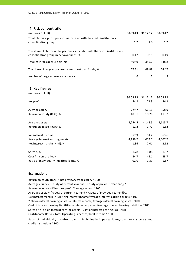#### **4. Risk concentration**

| (millions of EUR)                                                                                                       | 30.09.13 | 31.12.12 | 30.09.12 |
|-------------------------------------------------------------------------------------------------------------------------|----------|----------|----------|
| Total claims against persons associated with the credit institution's<br>consolidation group                            | 1.2      | 1.0      | 1.2      |
| The share of claims of the persons associated with the credit institution's<br>consolidation group in net own funds, %, | 0.17     | 0.15     | 0.19     |
| Total of large exposure claims                                                                                          | 409.9    | 355.2    | 348.8    |
| The share of large exposure claims in net own funds, %                                                                  | 57.81    | 49.89    | 54.47    |
| Number of large exposure customers                                                                                      | 6        | 5        | 5        |

#### **5. Key figures**  $(m,11)$  so  $(m,10)$

| (THILLOUS OF EUR)                       |          |          |          |
|-----------------------------------------|----------|----------|----------|
|                                         | 30.09.13 | 31.12.12 | 30.09.12 |
| Net profit                              | 54.8     | 71.3     | 56.2     |
| Average equity                          | 729.7    | 666.6    | 658.9    |
| Return on equity (ROE), %               | 10.01    | 10.70    | 11.37    |
| Average assets                          | 4,254.5  | 4,143.5  | 4,115.7  |
| Return on assets (ROA), %               | 1.72     | 1.72     | 1.82     |
| Net interest income                     | 57.9     | 81.2     | 63.6     |
| Average interest earning assets         | 4,139.7  | 4,034.7  | 4,007.7  |
| Net interest margin (NIM), %            | 1.86     | 2.01     | 2.12     |
| Spread, %                               | 1.78     | 1.88     | 1.97     |
| Cost / Income ratio, %                  | 44.7     | 45.1     | 43.7     |
| Ratio of individually impaired loans, % | 0.70     | 1.39     | 1.57     |

#### **Explanations**

Return on equity (ROE) = Net profit/Average equity \* 100 Average equity = (Equity of current year end + Equity of previous year end)/2 Return on assets (ROA) = Net profit/Average assets \* 100 Average assets = (Assets of current year end + Assets of previous year end)/2 Cost of interest bearing liabilities = Interest expenses/Average interest bearing liabilities \*100 Cost/Income Ratio = Total Operating Expenses/Total Income \* 100 Spread = Yield on interest earning assets ‐ Cost of interest bearing liabilities Net interest margin (NIM) = Net interest income/Average interest earning assets \* 100 Yield on interest earning assets = Interest income/Average interest earning assets \*100

Ratio of individually impaired loans = Individually impaired loans/Loans to customers and credit institutions\* 100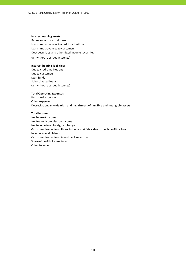#### **Interest earning assets:**

Balances with central bank Loans and advances to credit institutions Loans and advances to customers Debt securities and other fixed income securities

(all without accrued interests)

#### **Interest bearing liabilities:**

Due to credit institutions Due to customers Loan funds Subordinated loans (all without accrued interests)

#### **Total Operating Expenses:**

Personnel expenses Other expenses Depreciation, amortisation and impairment of tangible and intangible assets

#### **Total Income:**

Net interest income Net fee and commission income Net income from foreign exchange Gains less losses from financial assets at fair value through profit or loss Income from dividends Gains less losses from investment securities Share of profit of associates Other income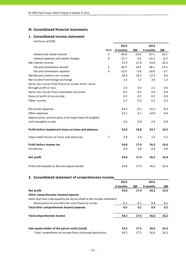## **III. Consolidated financial statements**

# **1. Consolidated income statement**

(millions of EUR)

|                                                       |      | 2013     |        | 2012     |        |
|-------------------------------------------------------|------|----------|--------|----------|--------|
|                                                       | Note | 9 months | QIII   | 9 months | QIII   |
| Interest and similar income                           | 3    | 69.6     | 24.6   | 87.1     | 26.5   |
| Interest expenses and similar charges                 | 4    | $-11.7$  | $-3.6$ | $-23.5$  | $-6.3$ |
| Net Interest Income                                   |      | 57.9     | 21.0   | 63.6     | 20.2   |
| Fee and commission income                             | 5    | 40.3     | 14.0   | 38.1     | 13.3   |
| Fee and commission expense                            | 6    | $-10.9$  | $-3.8$ | $-10.8$  | $-3.7$ |
| Net fee and commission income                         |      | 29.4     | 10.2   | 27.3     | 9.6    |
| Net income from foreign exchange                      |      | 3.3      | 1.2    | 3.6      | 1.3    |
| Gains less losses from financial assets at fair value |      |          |        |          |        |
| through profit or loss                                |      | 2.0      | 0.3    | 2.1      | 0.6    |
| Gains less losses from investment securities          |      | 0.5      | $-0.1$ | 0.0      | 0.0    |
| Share of profit of associates                         |      | 0.2      | 0.1    | 0.1      | 0.0    |
| Other income                                          |      | 0.7      | 0.2    | 0.5      | 0.3    |
| Personnel expenses                                    |      | $-24.3$  | $-8.1$ | $-25.2$  | $-8.3$ |
| Other expenses                                        |      | $-15.1$  | $-5.1$ | $-14.9$  | $-4.6$ |
| Depreciation, amortisation and impairment of tangible |      |          |        |          |        |
| and intangible assets                                 |      | $-2.6$   | $-0.9$ | $-2.4$   | $-0.9$ |
| Profit before impairment losses on loans and advances |      | 52.0     | 18.8   | 54.7     | 18.2   |
| Impairment losses on loans and advances               | 7    | 2.8      | $-1.4$ | 1.5      | $-2.2$ |
| Profit before income tax                              |      | 54.8     | 17.4   | 56.2     | 16.0   |
| Income tax                                            |      | 0.0      | 0.0    | 0.0      | 0.0    |
| Net profit                                            |      | 54.8     | 17.4   | 56.2     | 16.0   |
| Profit attributable to the sole equity holder         |      | 54.8     | 17.4   | 56.2     | 16.0   |

#### **2. Consolidated statement of comprehensive income**

|                                                                      | 2013     |      | 2012     |      |
|----------------------------------------------------------------------|----------|------|----------|------|
|                                                                      | 9 months | QIII | 9 months | QIII |
| Net profit                                                           | 54.8     | 17.4 | 56.2     | 16.0 |
| Other comprehensive income/expense                                   |          |      |          |      |
| Items that may subsequently be reclassified to the income statement: |          |      |          |      |
| Revaluation of available-for-sale financial assets                   | $-0.5$   | 0.1  | 0.4      | 0.2  |
| Total other comprehensive income/expense                             | $-0.5$   | 0.1  | 0.4      | 0.2  |
| Total comprehensive income                                           | 54.3     | 17.5 | 56.6     | 16.2 |
| Sole equity holder of the parent entity (total)                      | 54.3     | 17.5 | 56.6     | 16.2 |
| -Total comprehensive income from continued operations                | 54.3     | 17.5 | 56.6     | 16.2 |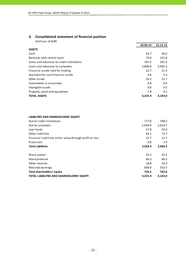# **3. Consolidated statement of financial position**

|                                           | 30.09.13 | 31.12.12 |
|-------------------------------------------|----------|----------|
| <b>ASSETS</b>                             |          |          |
| Cash                                      | 42.7     | 46.6     |
| Balances with central bank                | 70.0     | 191.0    |
| Loans and advances to credit institutions | 341.5    | 291.4    |
| Loans and advances to customers           | 3,808.8  | 3,585.3  |
| Financial assets held for trading         | 22.7     | 21.4     |
| Available-for-sale financial assets       | 4.6      | 5.3      |
| Other assets                              | 26.2     | 31.7     |
| Investments in associates                 | 0.8      | 0.6      |
| Intangible assets                         | 0.8      | 0.5      |
| Property, plant and equipment             | 7.8      | 9.2      |
| <b>TOTAL ASSETS</b>                       | 4,325.9  | 4,183.0  |

| LIABILITIES AND SHAREHOLDERS' EQUITY |  |
|--------------------------------------|--|
|--------------------------------------|--|

| Due to credit institutions                                 | 777.8   | 748.2   |
|------------------------------------------------------------|---------|---------|
| Due to customers                                           | 2,649.0 | 2,610.7 |
| Loan funds                                                 | 27.8    | 24.0    |
| Other liabilities                                          | 92.1    | 73.7    |
| Financial liabilities at fair value through profit or loss | 22.7    | 21.7    |
| Provisions                                                 | 0.0     | 1.9     |
| <b>Total Liabilities</b>                                   | 3,569.4 | 3,480.2 |
|                                                            |         |         |
| Share capital                                              | 42.5    | 42.5    |
| Share premium                                              | 86.3    | 86.3    |
| Other reserves                                             | 18.8    | 20.3    |
| Retained earnings                                          | 608.9   | 553.7   |
| Total shareholders' equity                                 |         |         |
|                                                            | 756.5   | 702.8   |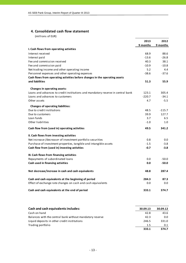#### **4. Consolidated cash flow statement**

|                                                                                 | 2013     | 2012     |
|---------------------------------------------------------------------------------|----------|----------|
|                                                                                 | 9 months | 9 months |
| I. Cash flows from operating activities                                         |          |          |
| Interest received                                                               | 68.9     | 88.6     |
| Interest paid                                                                   | $-13.6$  | $-26.8$  |
| Fee and commission received                                                     | 40.3     | 38.1     |
| Fee and commission paid                                                         | $-10.9$  | $-10.8$  |
| Net trading income and other operating income                                   | 5.2      | 4.4      |
| Personnel expenses and other operating expenses                                 | $-38.6$  | $-37.6$  |
| Cash flows from operating activities before changes in the operating assets     |          |          |
| and liabilities                                                                 | 51.3     | 55.9     |
| Changes in operating assets:                                                    |          |          |
| Loans and advances to credit institutions and mandatory reserve in central bank | 123.1    | 305.4    |
| Loans and advances to customers                                                 | $-220.7$ | $-34.1$  |
| Other assets                                                                    | 4.7      | $-5.5$   |
| <b>Changes of operating liabilities:</b>                                        |          |          |
| Due to credit institutions                                                      | 48.5     | $-115.7$ |
| Due to customers                                                                | 39.9     | 127.7    |
| Loan funds                                                                      | 3.7      | 6.5      |
| Other liabilities                                                               | $-1.0$   | 1.0      |
| Cash flow from (used in) operating activities                                   | 49.5     | 341.2    |
| II. Cash flows from investing activities                                        |          |          |
| Net increase-/decrease+ of investment portfolio securities                      | 0.8      | 0.0      |
| Purchase of investment properties, tangible and intangible assets               | $-1.5$   | $-3.8$   |
| Cash flow from (used in) investing activities                                   | $-0.7$   | $-3.8$   |
| III. Cash flows from financing activities                                       |          |          |
| Repayments of subordinated loans                                                | 0.0      | $-50.0$  |
| Cash used in financing activities                                               | 0.0      | $-50.0$  |
| Net decrease/increase in cash and cash equivalents                              | 48.8     | 287.4    |
| Cash and cash equivalents at the beginning of period                            | 284.3    | 87.3     |
| Effect of exchange rate changes on cash and cash equivalents                    | 0.0      | 0.0      |
| Cash and cash equivalents at the end of period                                  | 333.1    | 374.7    |

| <b>Cash and cash equivalents includes:</b>               | 30.09.13 | 30.09.12 |
|----------------------------------------------------------|----------|----------|
| Cash on hand                                             | 42.8     | 43.6     |
| Balances with the central bank without mandatory reserve | 42.3     | 0.0      |
| Liquid deposits in other credit institutions             | 246.5    | 331.0    |
| Trading portfolio                                        | 1.5      | 0.1      |
|                                                          | 333.1    | 374.7    |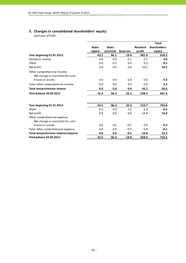# **5. Changes in consolidated shareholders' equity**

|                                    |              |              |                 |                 | <b>Total</b>  |
|------------------------------------|--------------|--------------|-----------------|-----------------|---------------|
|                                    | <b>Share</b> | <b>Share</b> |                 | <b>Retained</b> | shareholders' |
|                                    | capital      | premium      | <b>Reserves</b> | profit          | equity        |
| Year beginning 01.01.2012          | 42.5         | 86.1         | 19.8            | 481.9           | 630.3         |
| Statutory reserve                  | 0.0          | 0.0          | $-0.1$          | 0.1             | 0.0           |
| Other                              | 0.0          | 0.2          | 0.0             | 0.3             | 0.5           |
| Net profit                         | 0.0          | 0.0          | 0.0             | 56.2            | 56.2          |
| Other comprehensive income:        |              |              |                 |                 |               |
| Net change in available-for-sale   |              |              |                 |                 |               |
| financial assets                   | 0.0          | 0.0          | 0.4             | 0.0             | 0.4           |
| Total other comprehensive income   | 0.0          | 0.0          | 0.4             | 0.0             | 0.4           |
| <b>Total comprehensive income</b>  | 0.0          | 0.0          | 0.4             | 56.2            | 56.6          |
| <b>Final balance 30.09.2012</b>    | 42.5         | 86.3         | 20.1            | 538.5           | 687.4         |
|                                    |              |              |                 |                 |               |
| Year beginning 01.01.2013          | 42.5         | 86.3         | 20.3            | 553.7           | 702.8         |
| Other                              | 0.0          | 0.0          | $-1.0$          | 0.4             | $-0.6$        |
| Net profit                         | 0.0          | 0.0          | 0.0             | 54.8            | 54.8          |
| Other comprehensive expense:       |              |              |                 |                 |               |
| Net change in available-for-sale   |              |              |                 |                 |               |
| financial assets                   | 0.0          | 0.0          | $-0.5$          | 0.0             | $-0.5$        |
| Total other comprehensive expense  | 0.0          | 0.0          | $-0.5$          | 0.0             | $-0.5$        |
| Total comprehensive income/expense | 0.0          | 0.0          | $-0.5$          | 54.8            | 54.3          |
| <b>Final balance 30.09.2013</b>    | 42.5         | 86.3         | 18.8            | 608.9           | 756.5         |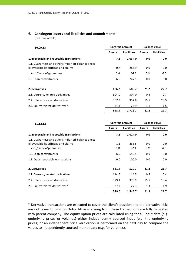# **6. Contingent assets and liabilities and commitments**

(millions of EUR)

| 30.09.13                                                                                   |               | <b>Contract amount</b> | <b>Balance value</b> |                    |  |
|--------------------------------------------------------------------------------------------|---------------|------------------------|----------------------|--------------------|--|
|                                                                                            | <b>Assets</b> | <b>Liabilities</b>     | <b>Assets</b>        | <b>Liabilities</b> |  |
| 1. Irrevocable and revocable transactions                                                  | 7.2           | 1,034.0                | 0.0                  | 0.0                |  |
| 1.1. Guarantees and other similar off-balance sheet<br>irrovocable liabilitieas and claims | 0.7           | 286.9                  | 0.0                  | 0.0                |  |
| incl. financial quarantees                                                                 | 0.0           | 66.6                   | 0.0                  | 0.0                |  |
| 1.2. Loan commitments                                                                      | 6.5           | 747.1                  | 0.0                  | 0.0                |  |
| 2. Derivatives                                                                             | 686.2         | 685.7                  | 21.2                 | 22.7               |  |
| 2.1. Currency related derivatives                                                          | 304.0         | 304.0                  | 0.6                  | 0.7                |  |
| 2.2. Interest related derivatives                                                          | 357.9         | 357.8                  | 19.5                 | 20.5               |  |
| 2.3. Equity related derivatives*                                                           | 24.3          | 23.9                   | 1.1                  | 1.5                |  |
|                                                                                            | 693.4         | 1,719.7                | 21.2                 | 22.7               |  |

| 31.12.12                                            | <b>Contract amount</b> |                    |               | <b>Balance value</b> |  |  |
|-----------------------------------------------------|------------------------|--------------------|---------------|----------------------|--|--|
|                                                     | <b>Assets</b>          | <b>Liabilities</b> | <b>Assets</b> | <b>Liabilities</b>   |  |  |
| 1. Irrevocable and revocable transactions           | 7.6                    | 1,024.0            | 0.0           | 0.0                  |  |  |
| 1.1. Guarantees and other similar off-balance sheet |                        |                    |               |                      |  |  |
| irrovocable liabilitieas and claims                 | 1.1                    | 268.5              | 0.0           | 0.0                  |  |  |
| incl. financial quarantees                          | 0.0                    | 92.1               | 0.0           | 0.0                  |  |  |
| 1.2. Loan commitments                               | 6.5                    | 655.5              | 0.0           | 0.0                  |  |  |
| 1.3. Other revocable transactions                   | 0.0                    | 100.0              | 0.0           | 0.0                  |  |  |
| 2. Derivatives                                      | 521.4                  | 520.7              | 21.3          | 21.7                 |  |  |
| 2.1. Currency related derivatives                   | 114.6                  | 114.5              | 0.5           | 0.4                  |  |  |
| 2.2. Interest related derivatives                   | 379.1                  | 378.9              | 19.5          | 19.4                 |  |  |
| 2.3. Equity related derivatives*                    | 27.7                   | 27.3               | 1.3           | 1.9                  |  |  |
|                                                     | 529.0                  | 1,544.7            | 21.3          | 21.7                 |  |  |

\* Derivative transactions are executed to cover the client's position and the derivative risks are not taken to own portfolio. All risks arising from these transactions are fully mitigated with parent company. The equity option prices are calculated using for all input data (e.g. underlying prices or volumes) either independently sourced input (e.g. the underlying prices) or an independent price verification is performed on the next day to compare the values to independently sourced market data (e.g. for volumes).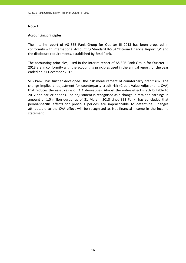#### **Accounting principles**

The interim report of AS SEB Pank Group for Quarter III 2013 has been prepared in conformity with International Accounting Standard IAS 34 "Interim Financial Reporting" and the disclosure requirements, established by Eesti Pank.

The accounting principles, used in the interim report of AS SEB Pank Group for Quarter III 2013 are in conformity with the accounting principles used in the annual report for the year ended on 31 December 2012.

SEB Pank has further developed the risk measurement of counterparty credit risk. The change implies a adjustment for counterparty credit risk (Credit Value Adjustment, CVA) that reduces the asset value of OTC derivatives. Almost the entire effect is attributable to 2012 and earlier periods. The adjustment is recognised as a change in retained earnings in amount of 1,0 millon euros as of 31 March 2013 since SEB Pank has concluded that period‐specific effects for previous periods are impracticable to determine. Changes attributable to the CVA effect will be recognised as Net financial income in the income statement.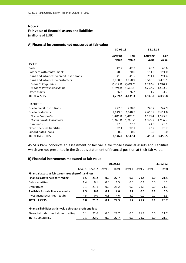#### **Fair value of financial assets and liabilities**

(millions of EUR)

#### **A) Financial instruments not measured at fair value**

|                                           |                          | 30.09.13      |                          | 31.12.12      |
|-------------------------------------------|--------------------------|---------------|--------------------------|---------------|
|                                           | <b>Carrying</b><br>value | Fair<br>value | <b>Carrying</b><br>value | Fair<br>value |
| <b>ASSETS</b>                             |                          |               |                          |               |
| Cash                                      | 42.7                     | 42.7          | 46.6                     | 46.6          |
| Balances with central bank                | 70.0                     | 70.0          | 191.0                    | 191.0         |
| Loans and advances to credit institutions | 341.5                    | 341.5         | 291.4                    | 291.4         |
| Loans and advances to customers           | 3,808.8                  | 3,650.9       | 3,585.3                  | 3,473.1       |
| Loans to Corporates                       | 2,014.0                  | 2,004.9       | 1,817.8                  | 1,810.1       |
| Loans to Private individuals              | 1,794.8                  | 1,646.1       | 1,767.5                  | 1,663.0       |
| Other assets                              | 26.2                     | 26.2          | 31.7                     | 31.7          |
| <b>TOTAL ASSETS</b>                       | 4,289.2                  | 4,131.3       | 4,146.0                  | 4,033.8       |
| <b>LIABILITIES</b>                        |                          |               |                          |               |
| Due to credit institutions                | 777.8                    | 778.8         | 748.2                    | 747.9         |
| Due to customers                          | 2,649.0                  | 2,648.7       | 2,610.7                  | 2,611.8       |
| Due to Corporates                         | 1,486.0                  | 1,485.5       | 1,525.4                  | 1,525.5       |
| Due to Private Individuals                | 1,163.0                  | 1,163.2       | 1,085.3                  | 1,086.3       |
| Loan funds                                | 27.8                     | 27.7          | 24.0                     | 25.1          |
| Other financial liabilities               | 92.1                     | 92.1          | 73.7                     | 73.7          |
| Subordinated loans                        | 0.0                      | 0.0           | 0.0                      | 0.0           |
| <b>TOTAL LIABILITIES</b>                  | 3,546.7                  | 3,547.4       | 3,456.6                  | 3,458.5       |

AS SEB Pank conducts an assessment of fair value for those financial assets and liabilities which are not presented in the Group's statement of financial position at their fair value.

#### **B) Financial instruments measured at fair value**

|                                                             |         |         |         | 30.09.13     |         |         |         | 31.12.12 |
|-------------------------------------------------------------|---------|---------|---------|--------------|---------|---------|---------|----------|
|                                                             | Level 1 | Level 2 | Level 3 | <b>Total</b> | Level 1 | Level 2 | Level 3 | Total    |
| Financial assets at fair value through profit and loss      |         |         |         |              |         |         |         |          |
| Financial assets held for trading                           | 1.5     | 21.2    | 0.0     | 22.7         | 0.0     | 21.4    | 0.0     | 21.4     |
| Debt securities                                             | 1.4     | 0.1     | 0.0     | 1.5          | 0.0     | 0.1     | 0.0     | 0.1      |
| Derivatives                                                 | 0.1     | 21.1    | 0.0     | 21.2         | 0.0     | 21.3    | 0.0     | 21.3     |
| Available for sale financial assets                         | 4.5     | 0.0     | 0.1     | 4.6          | 5.2     | 0.0     | 0.1     | 5.3      |
| Investment securities - equity                              | 4.5     | 0.0     | 0.1     | 4.6          | 5.2     | 0.0     | 0.1     | 5.3      |
| <b>TOTAL ASSETS</b>                                         | 6.0     | 21.2    | 0.1     | 27.3         | 5.2     | 21.4    | 0.1     | 26.7     |
| Financial liabilities at fair value through profit and loss |         |         |         |              |         |         |         |          |
| Financial liabilities held for trading                      | 0.1     | 22.6    | 0.0     | 22.7         | 0.0     | 21.7    | 0.0     | 21.7     |
| <b>TOTAL LIABILITIES</b>                                    | 0.1     | 22.6    | 0.0     | 22.7         | 0.0     | 21.7    | 0.0     | 21.7     |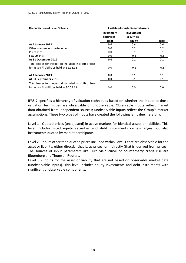| <b>Reconciliation of Level 3 Items</b>                 | Available-for-sale financial assets |                                   |        |  |  |
|--------------------------------------------------------|-------------------------------------|-----------------------------------|--------|--|--|
|                                                        | <b>Investment</b><br>securities -   | <b>Investment</b><br>securities - |        |  |  |
|                                                        | debt                                | equity                            | Total  |  |  |
| At 1 January 2012                                      | 0.0                                 | 0.4                               | 0.4    |  |  |
| Other comprehensive income                             | 0.0                                 | 0.2                               | 0.2    |  |  |
| Purchases                                              | 0.0                                 | 0.1                               | 0.1    |  |  |
| <b>Settlements</b>                                     | 0.0                                 | $-0.6$                            | $-0.6$ |  |  |
| At 31 December 2012                                    | 0.0                                 | 0.1                               | 0.1    |  |  |
| Total losses for the period included in profit or loss |                                     |                                   |        |  |  |
| for assets/liabilities held at 31.12.12                | 0.0                                 | $-0.1$                            | $-0.1$ |  |  |
| At 1 January 2013                                      | 0.0                                 | 0.1                               | 0.1    |  |  |
| At 30 September 2013                                   | 0.0                                 | 0.1                               | 0.1    |  |  |
| Total losses for the period included in profit or loss |                                     |                                   |        |  |  |
| for assets/liabilities held at 30.09.13                | 0.0                                 | 0.0                               | 0.0    |  |  |

IFRS 7 specifies a hierarchy of valuation techniques based on whether the inputs to those valuation techniques are observable or unobservable. Observable inputs reflect market data obtained from independent sources; unobservable inputs reflect the Group's market assumptions. These two types of inputs have created the following fair value hierarchy:

Level 1 ‐ Quoted prices (unadjusted) in active markets for identical assets or liabilities. This level includes listed equity securities and debt instruments on exchanges but also instruments quoted by market participants.

Level 2 - Inputs other than quoted prices included within Level 1 that are observable for the asset or liability, either directly (that is, as prices) or indirectly (that is, derived from prices). The sources of input parameters like Euro yield curve or counterparty credit risk are Bloomberg and Thomson Reuters.

Level 3 - Inputs for the asset or liability that are not based on observable market data (unobservable inputs). This level includes equity investments and debt instruments with significant unobservable components.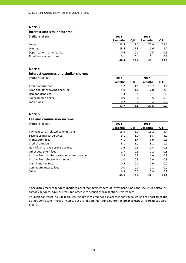#### **Interest and similar income**

(millions of EUR) **2013 2012**

|                           | 9 months | QIII | 9 months | QIII |
|---------------------------|----------|------|----------|------|
| Loans                     | 35.5     | 12.0 | 72.9     | 22.1 |
| Leasing                   | 33.4     | 12.3 | 11.6     | 3.7  |
| Deposits with other banks | 0.6      | 0.2  | 2.5      | 0.6  |
| Fixed income securities   | 0.1      | 0.1  | 0.1      | 0.1  |
|                           | 69.6     | 24.6 | 87.1     | 26.5 |

#### **Note 4**

#### **Interest expenses and similar charges**

(millions of EUR) **2013 2012**

|                                | 9 months | QIII   | 9 months | QIII   |
|--------------------------------|----------|--------|----------|--------|
| Credit institutions            | $-5.2$   | $-1.5$ | $-11.7$  | $-3.1$ |
| Time and other saving deposits | $-5.0$   | $-1.6$ | $-7.8$   | $-2.0$ |
| Demand deposits                | $-1.3$   | $-0.5$ | $-3.1$   | $-1.0$ |
| Subordinated debts             | 0.0      | 0.0    | $-0.5$   | 0.0    |
| Loan funds                     | $-0.2$   | 0.0    | $-0.4$   | $-0.2$ |
|                                | $-11.7$  | $-3.6$ | $-23.5$  | -6.3   |

#### **Note 5**

#### **Fee and commission income**

(millions of EUR) **2013 2012**

|                                               | 9 months | QIII | 9 months | QIII |
|-----------------------------------------------|----------|------|----------|------|
| Payment cards related commissions             | 16.5     | 6.0  | 15.2     | 5.4  |
| Securities market services *                  | 9.1      | 3.0  | 8.8      | 3.0  |
| <b>Transaction fees</b>                       | 4.1      | 1.4  | 3.9      | 1.3  |
| Credit contracts**                            | 3.1      | 1.1  | 3.1      | 1.2  |
| Non-life insurance brokerage fees             | 1.6      | 0.6  | 1.4      | 0.5  |
| Other settlement fees                         | 2.7      | 0.9  | 2.2      | 0.8  |
| Income from leasing agreements (full service) | 0.9      | 0.3  | 1.0      | 0.3  |
| Income from electronic channels               | 1.0      | 0.3  | 0.9      | 0.3  |
| Cash handling fees                            | 0.5      | 0.2  | 0.6      | 0.2  |
| Commodity futures fees                        | 0.0      | 0.0  | 0.1      | 0.0  |
| Other                                         | 0.8      | 0.2  | 0.9      | 0.3  |
|                                               | 40.3     | 14.0 | 38.1     | 13.3 |

\* Securities market services includes asset management fees of investment funds and securties portfolios, custody services, advisory fees and other with securities transactions related fees.

\*\* Credit contracts include loan, leasing, letter of credit and guarantee contracts, which are short‐term and do not constitute interest income, but are of administrative nature for arrangement or reorganisation of credits.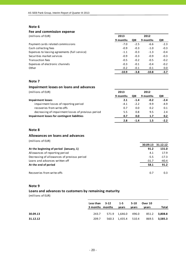#### **Fee and commission expense**

| (millions of EUR)                             | 2013     |        | 2012     |        |
|-----------------------------------------------|----------|--------|----------|--------|
|                                               | 9 months | QIII   | 9 months | QIII   |
| Payment cards related commissions             | $-7.0$   | $-2.5$ | $-6.6$   | $-2.3$ |
| Cash collecting fees                          | $-0.9$   | $-0.3$ | $-1.0$   | $-0.3$ |
| Expenses to leasing agreements (full service) | $-1.1$   | $-0.3$ | $-1.3$   | $-0.4$ |
| Securities market services                    | $-0.9$   | $-0.3$ | $-0.9$   | $-0.3$ |
| Transaction fees                              | $-0.5$   | $-0.2$ | $-0.5$   | $-0.2$ |
| Expenses of electronic channels               | $-0.3$   | $-0.1$ | $-0.4$   | $-0.2$ |
| Other                                         | $-0.2$   | $-0.1$ | $-0.1$   | 0.0    |
|                                               | $-10.9$  | $-3.8$ | $-10.8$  | $-3.7$ |

# **Note 7**

#### **Impairment losses on loans and advances**

(millions of EUR) **2013 2012**

|                                                    | 9 months | QIII   | 9 months | QIII             |
|----------------------------------------------------|----------|--------|----------|------------------|
| <b>Impairment losses</b>                           | 2.1      | $-1.4$ | $-0.2$   | $-2.4$           |
| impairment losses of reporting period              | $-4.1$   | $-2.2$ | $-9.9$   | $-4.9$           |
| recoveries from write-offs                         | 0.7      | 0.0    | 0.2      | 0.1              |
| decreasing of impairment losses of previous period | 5.5      | 0.8    | 9.5      | 2.4              |
| Impairment losses for contingent liabilities       | 0.7      | 0.0    | 1.7      | 0.2 <sub>0</sub> |
|                                                    | 2.8      | -14    | 1.5      |                  |

#### **Note 8**

## **Allowances on loans and advances**

(millions of EUR)

|                                             | 30.09.13 | 31.12.12 |
|---------------------------------------------|----------|----------|
| At the beginning of period (January, 1)     | 91.2     | 131.0    |
| Allowances of reporting period              | 4.1      | 17.9     |
| Decreasing of allowances of previous period | $-5.5$   | $-17.3$  |
| Loans and advances written off              | $-31.7$  | $-40.4$  |
| At the end of period                        | 58.1     | 91.2     |
|                                             |          |          |
| Recoveries from write-offs                  | 0.7      | 0.3      |

#### **Note 9**

# **Loans and advances to customers by remaining maturity**

|          | Less than 3-12<br>3 months months | $1-5$<br>vears      | 5-10<br>vears | Over 10<br>vears                         | Total         |
|----------|-----------------------------------|---------------------|---------------|------------------------------------------|---------------|
| 30.09.13 | 243.7                             |                     |               | 571.9 1,646.0 496.0 851.2 <b>3,808.8</b> |               |
| 31.12.12 | 209.7                             | 560.3 1,435.4 510.4 |               |                                          | 869.5 3,585.3 |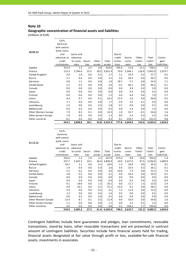#### **Geographic concentration of financial assets and liabilities**

(millions of EUR)

| 30.09.13             | Cash,<br>balances<br>with central<br>bank, loans<br>and<br>advances to | Loans and<br>advances |         |        |         | Due to<br>credit | Due to  | Other    | Total    | Contin-     |
|----------------------|------------------------------------------------------------------------|-----------------------|---------|--------|---------|------------------|---------|----------|----------|-------------|
|                      | credit                                                                 | to custo-             | Securi- | Other  | Total   | institu-         | custo-  | liabili- | liabili- | gent        |
|                      | institutions                                                           | mers                  | ti es   | assets | assets  | tions            | mers    | ties     | ti es    | liabilities |
| Sweden               | 315.9                                                                  | 1.3                   | 2.5     | 0.9    | 320.6   | 705.4            | 11.8    | 21.1     | 738.3    | 1.3         |
| Estonia              | 113.3                                                                  | 3,784.6               | 25.5    | 28.5   | 3,951.9 | 19.0             | 2,266.1 | 116.9    | 2,402.0  | 1,019.7     |
| United Kingdom       | 0.0                                                                    | 1.6                   | 0.0     | 0.1    | 1.7     | 2.1              | 25.4    | 0.2      | 27.7     | 0.2         |
| Russia               | 2.7                                                                    | 0.4                   | 0.0     | 0.0    | 3.1     | 2.4              | 28.3    | 0.0      | 30.7     | 0.0         |
| Germany              | 0.8                                                                    | 1.1                   | 0.0     | 0.0    | 1.9     | 18.7             | 5.7     | 0.0      | 24.4     | 7.1         |
| <b>United States</b> | 2.1                                                                    | 0.5                   | 0.0     | 0.0    | 2.6     | 0.1              | 46.1    | 0.0      | 46.2     | 0.1         |
| Canada               | 0.0                                                                    | 0.0                   | 0.0     | 0.0    | 0.0     | 0.0              | 3.9     | 0.0      | 3.9      | 0.0         |
| Japan                | 0.0                                                                    | 0.0                   | 0.0     | 0.0    | 0.0     | 0.0              | 0.3     | 0.0      | 0.3      | 0.0         |
| Finland              | 0.0                                                                    | 0.6                   | 0.0     | 0.6    | 1.2     | 0.0              | 6.4     | 0.6      | 7.0      | 2.7         |
| Latvia               | 6.4                                                                    | 9.7                   | 0.0     | 0.1    | 16.2    | 27.4             | 2.6     | 0.0      | 30.0     | 0.5         |
| Lithuania            | 1.7                                                                    | 0.0                   | 0.0     | 0.0    | 1.7     | 0.9              | 3.4     | 0.1      | 4.4      | 0.0         |
| Luxembourg           | 2.5                                                                    | 0.0                   | 0.0     | 0.3    | 2.8     | 0.7              | 0.0     | 0.0      | 0.7      | 0.0         |
| Netherlands          | 0.0                                                                    | 0.3                   | 0.0     | 0.0    | 0.3     | 0.0              | 1.4     | 0.0      | 1.4      | 0.0         |
| Other Western Europe | 7.9                                                                    | 8.3                   | 0.1     | 0.0    | 16.3    | 1.0              | 25.7    | $-0.1$   | 26.6     | 1.6         |
| Other Eastern Europe | 1.0                                                                    | 0.0                   | 0.0     | 0.3    | 1.3     | 0.0              | 3.2     | 0.3      | 3.5      | 0.0         |
| Other countries      | $-0.1$                                                                 | 0.4                   | 0.0     | 4.0    | 4.3     | 0.1              | 218.7   | 3.5      | 222.3    | 0.8         |
|                      | 454.2                                                                  | 3,808.8               | 28.1    | 34.8   | 4,325.9 | 777.8            | 2,649.0 | 142.6    | 3,569.4  | 1,034.0     |

|                      | Cash,<br>balances<br>with central |           |         |        |         |          |         |          |          |             |
|----------------------|-----------------------------------|-----------|---------|--------|---------|----------|---------|----------|----------|-------------|
|                      | bank, loans                       |           |         |        |         |          |         |          |          |             |
| 31.12.12             | and                               | Loans and |         |        |         | Due to   |         |          |          |             |
|                      | advances to                       | advances  |         |        |         | credit   | Due to  | Other    | Total    | Contin-     |
|                      | credit                            | to custo- | Securi- | Other  | Total   | institu- | custo-  | liabili- | liabili- | gent        |
|                      | institutions                      | mers      | ti es   | assets | assets  | tions    | mers    | ti es    | ties     | liabilities |
| Sweden               | 242.6                             | 1.3       | 1.9     | 2.1    | 247.9   | 675.4    | 8.8     | 20.4     | 704.6    | 1.4         |
| Estonia              | 237.7                             | 3,542.3   | 24.5    | 36.4   | 3,840.9 | 10.9     | 2,227.6 | 97.5     | 2,336.0  | 1,009.9     |
| United Kingdom       | 16.2                              | 2.1       | 0.0     | 0.1    | 18.4    | 1.3      | 18.9    | 0.0      | 20.2     | 0.2         |
| Russia               | 1.9                               | 0.4       | 0.0     | 0.3    | 2.6     | 0.4      | 25.4    | 0.3      | 26.1     | 0.1         |
| Germany              | 4.2                               | 0.2       | 0.0     | 0.0    | 4.4     | 25.8     | 7.3     | 0.0      | 33.1     | 7.4         |
| <b>United States</b> | 2.8                               | 0.5       | 0.8     | 0.0    | 4.1     | 0.0      | 59.3    | 0.0      | 59.3     | 0.1         |
| Canada               | 0.0                               | 0.0       | 0.0     | 0.0    | 0.0     | 0.0      | 0.9     | 0.0      | 0.9      | 0.0         |
| Japan                | 0.0                               | 0.0       | 0.0     | 0.0    | 0.0     | 0.0      | 0.3     | 0.0      | 0.3      | 0.0         |
| Finland              | 0.1                               | 18.8      | 0.0     | 1.2    | 20.1    | 0.0      | 11.7    | 1.3      | 13.0     | 2.4         |
| Latvia               | 4.9                               | 10.1      | 0.0     | 0.1    | 15.1    | 31.6     | 6.5     | 0.0      | 38.1     | 0.0         |
| Lithuania            | 3.9                               | 0.0       | 0.0     | 0.2    | 4.1     | 1.3      | 11.9    | 0.0      | 13.2     | 0.0         |
| Luxembourg           | 1.2                               | 0.0       | 0.0     | 0.4    | 1.6     | 0.5      | 0.0     | 0.0      | 0.5      | 0.0         |
| Netherlands          | 0.0                               | 0.5       | 0.0     | 0.0    | 0.5     | 0.0      | 0.9     | 0.0      | 0.9      | 0.0         |
| Other Western Europe | 12.4                              | 8.7       | 0.1     | 0.2    | 21.4    | 0.9      | 33.9    | 0.0      | 34.8     | 1.6         |
| Other Eastern Europe | 1.1                               | 0.0       | 0.0     | 0.0    | 1.1     | 0.0      | 3.1     | 0.1      | 3.2      | 0.0         |
| Other countries      | 0.0                               | 0.4       | 0.0     | 0.4    | 0.8     | 0.1      | 194.2   | 1.7      | 196.0    | 0.9         |
|                      | 529.0                             | 3,585.3   | 27.3    | 41.4   | 4,183.0 | 748.2    | 2,610.7 | 121.3    | 3,480.2  | 1,024.0     |

Contingent liabilities include here guarantees and pledges, loan commitments, revocable transactions, stand‐by loans, other revocable transactions and are presented in contract amount of contingent liabilities. Securities include here financial assets held for trading, financial assets designated at fair value through profit or loss, available‐for‐sale financial assets, investments in associates.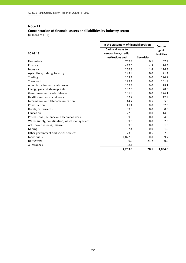# **Concentration of financial assets and liabilities by industry sector**

| In the statement of financial position       |                                                               |                   |                                |
|----------------------------------------------|---------------------------------------------------------------|-------------------|--------------------------------|
| 30.09.13                                     | Cash and loans to<br>central bank, credit<br>institutions and | <b>Securities</b> | Contin-<br>gent<br>liabilities |
| Real estate                                  | 707.8                                                         | 0.1               | 67.9                           |
| Finance                                      | 477.0                                                         | 4.3               | 26.4                           |
| Industry                                     | 266.8                                                         | 1.4               | 176.3                          |
| Agriculture, fishing, forestry               | 193.8                                                         | 0.0               | 21.4                           |
| Trading                                      | 163.1                                                         | 0.0               | 124.2                          |
| Transport                                    | 129.1                                                         | 0.0               | 101.9                          |
| Administration and assistance                | 102.8                                                         | 0.0               | 28.1                           |
| Energy, gas and steam plants                 | 102.6                                                         | 0.0               | 78.5                           |
| Government and state defence                 | 101.8                                                         | 0.0               | 226.1                          |
| Health services, social work                 | 52.2                                                          | 0.0               | 12.9                           |
| Information and telecommunication            | 44.7                                                          | 0.5               | 5.8                            |
| Construction                                 | 41.4                                                          | 0.0               | 62.5                           |
| Hotels, restaurants                          | 39.3                                                          | 0.0               | 0.9                            |
| Education                                    | 22.3                                                          | 0.0               | 14.0                           |
| Professional, science and technical work     | 9.9                                                           | 0.0               | 4.6                            |
| Water supply, canalisation, waste management | 9.5                                                           | 0.0               | 2.5                            |
| Art, show business, leisure                  | 9.3                                                           | 0.0               | 1.8                            |
| Mining                                       | 2.4                                                           | 0.0               | 1.0                            |
| Other government and social services         | 23.3                                                          | 0.6               | 7.5                            |
| Individuals                                  | 1,822.0                                                       | 0.0               | 69.7                           |
| Derivatives                                  | 0.0                                                           | 21.2              | 0.0                            |
| Allowances                                   | $-58.1$                                                       |                   |                                |
|                                              | 4,263.0                                                       | 28.1              | 1,034.0                        |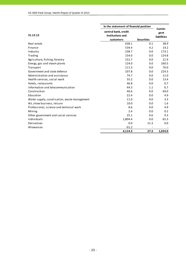|                                              | In the statement of financial position | Contin-           |                    |
|----------------------------------------------|----------------------------------------|-------------------|--------------------|
|                                              | central bank, credit                   |                   | gent               |
| 31.12.12                                     | institutions and                       |                   | <b>liabilities</b> |
|                                              | customers                              | <b>Securities</b> |                    |
| Real estate                                  | 638.1                                  | 0.1               | 38.9               |
| Finance                                      | 534.4                                  | 4.2               | 14.2               |
| Industry                                     | 238.7                                  | 0.0               | 173.1              |
| Trading                                      | 154.0                                  | 0.0               | 124.8              |
| Agriculture, fishing, forestry               | 151.7                                  | 0.0               | 21.9               |
| Energy, gas and steam plants                 | 124.0                                  | 0.0               | 160.5              |
| Transport                                    | 111.3                                  | 0.0               | 76.0               |
| Government and state defence                 | 107.8                                  | 0.0               | 224.3              |
| Administration and assistance                | 74.7                                   | 0.0               | 11.0               |
| Health services, social work                 | 55.2                                   | 0.0               | 13.4               |
| Hotels, restaurants                          | 46.8                                   | 0.0               | 0.7                |
| Information and telecommunication            | 44.3                                   | 1.1               | 6.7                |
| Construction                                 | 40.6                                   | 0.0               | 69.0               |
| Education                                    | 22.4                                   | 0.0               | 4.9                |
| Water supply, canalisation, waste management | 11.0                                   | 0.0               | 3.3                |
| Art, show business, leisure                  | 10.0                                   | 0.0               | 1.6                |
| Professional, science and technical work     | 8.6                                    | 0.0               | 4.9                |
| Mining                                       | 2.4                                    | 0.0               | 0.2                |
| Other government and social services         | 25.1                                   | 0.6               | 9.3                |
| Individuals                                  | 1,804.4                                | 0.0               | 65.3               |
| Derivatives                                  | 0.0                                    | 21.3              | 0.0                |
| Allowances                                   | $-91.2$                                |                   |                    |
|                                              | 4,114.3                                | 27.3              | 1,024.0            |